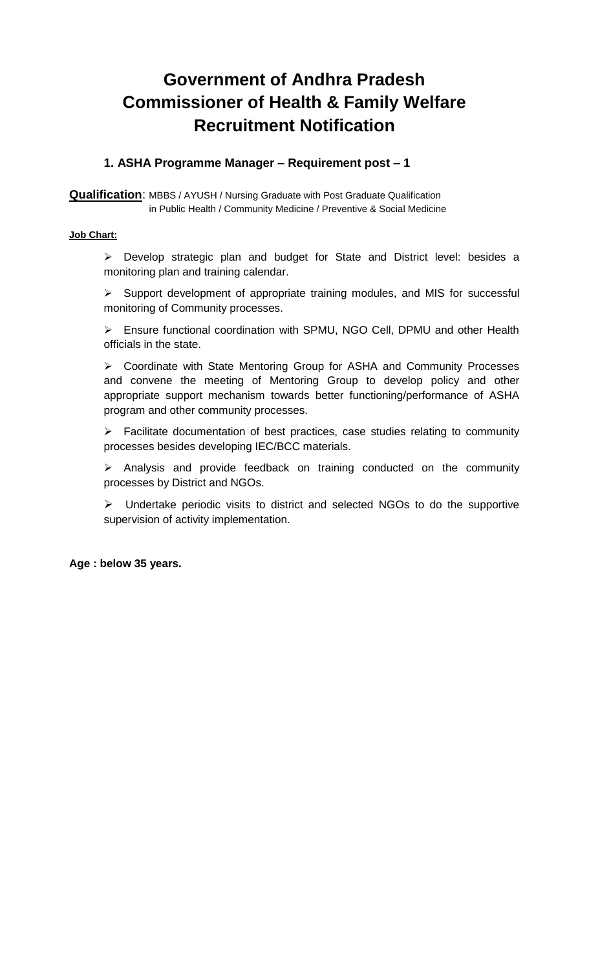# **Government of Andhra Pradesh Commissioner of Health & Family Welfare Recruitment Notification**

# **1. ASHA Programme Manager – Requirement post – 1**

**Qualification**: MBBS / AYUSH / Nursing Graduate with Post Graduate Qualification in Public Health / Community Medicine / Preventive & Social Medicine

#### **Job Chart:**

➢ Develop strategic plan and budget for State and District level: besides a monitoring plan and training calendar.

➢ Support development of appropriate training modules, and MIS for successful monitoring of Community processes.

➢ Ensure functional coordination with SPMU, NGO Cell, DPMU and other Health officials in the state.

➢ Coordinate with State Mentoring Group for ASHA and Community Processes and convene the meeting of Mentoring Group to develop policy and other appropriate support mechanism towards better functioning/performance of ASHA program and other community processes.

➢ Facilitate documentation of best practices, case studies relating to community processes besides developing IEC/BCC materials.

➢ Analysis and provide feedback on training conducted on the community processes by District and NGOs.

➢ Undertake periodic visits to district and selected NGOs to do the supportive supervision of activity implementation.

#### **Age : below 35 years.**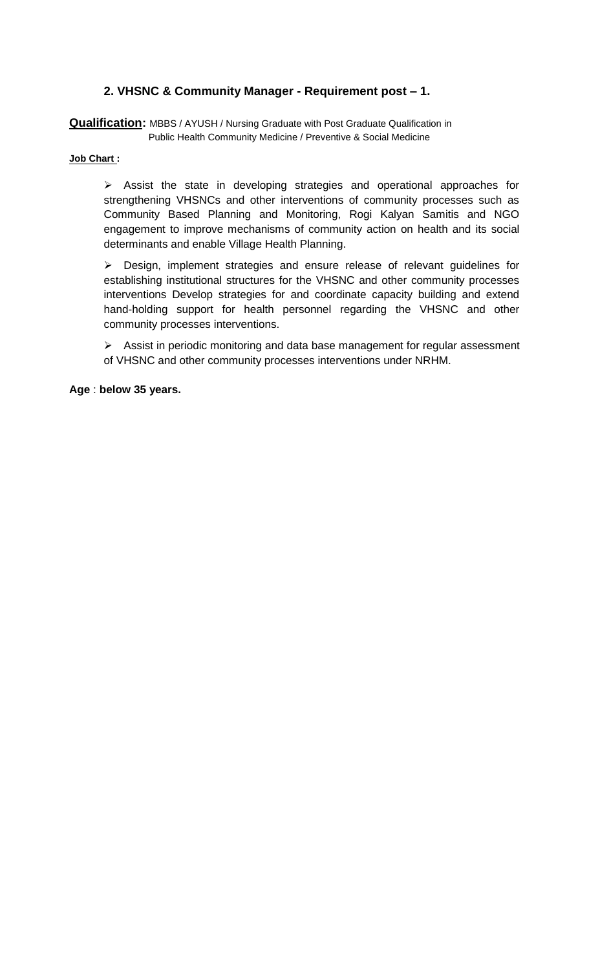# **2. VHSNC & Community Manager - Requirement post – 1.**

**Qualification:** MBBS / AYUSH / Nursing Graduate with Post Graduate Qualification in Public Health Community Medicine / Preventive & Social Medicine

#### **Job Chart :**

➢ Assist the state in developing strategies and operational approaches for strengthening VHSNCs and other interventions of community processes such as Community Based Planning and Monitoring, Rogi Kalyan Samitis and NGO engagement to improve mechanisms of community action on health and its social determinants and enable Village Health Planning.

➢ Design, implement strategies and ensure release of relevant guidelines for establishing institutional structures for the VHSNC and other community processes interventions Develop strategies for and coordinate capacity building and extend hand-holding support for health personnel regarding the VHSNC and other community processes interventions.

➢ Assist in periodic monitoring and data base management for regular assessment of VHSNC and other community processes interventions under NRHM.

**Age** : **below 35 years.**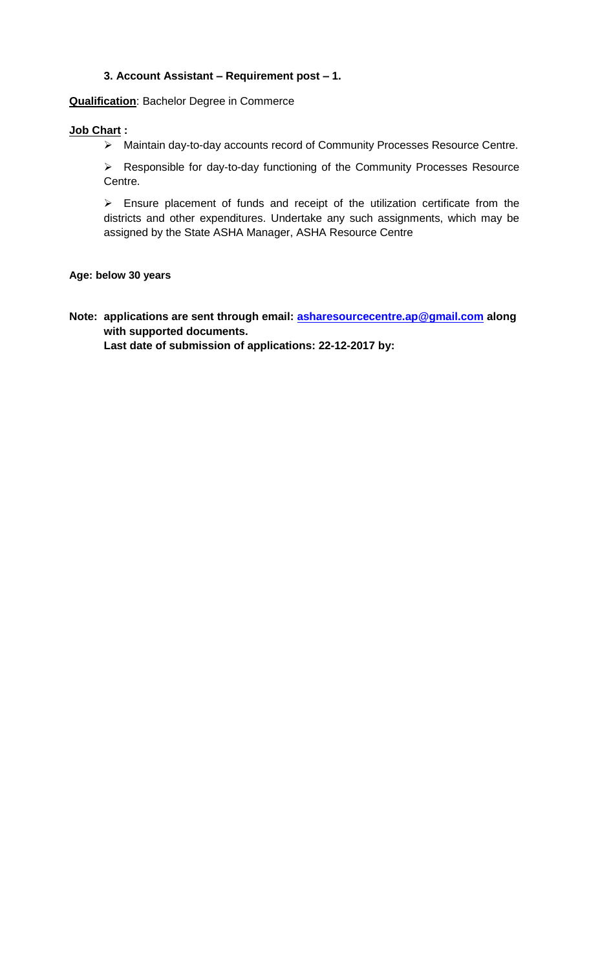## **3. Account Assistant – Requirement post – 1.**

**Qualification**: Bachelor Degree in Commerce

#### **Job Chart :**

➢ Maintain day-to-day accounts record of Community Processes Resource Centre.

➢ Responsible for day-to-day functioning of the Community Processes Resource Centre.

➢ Ensure placement of funds and receipt of the utilization certificate from the districts and other expenditures. Undertake any such assignments, which may be assigned by the State ASHA Manager, ASHA Resource Centre

#### **Age: below 30 years**

**Note: applications are sent through email: [asharesourcecentre.ap@gmail.com](mailto:asharesourcecentre.ap@gmail.com) along with supported documents.** 

**Last date of submission of applications: 22-12-2017 by:**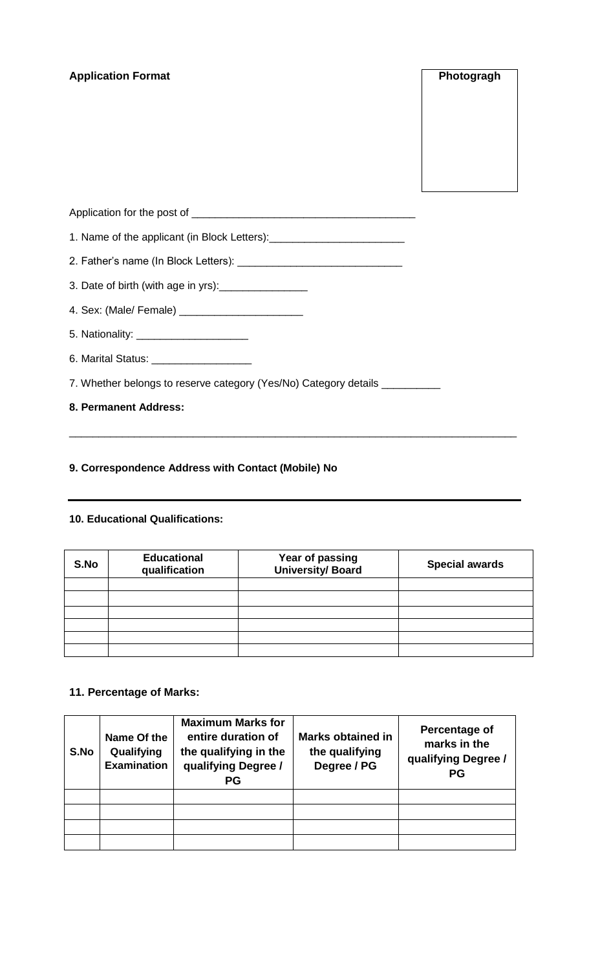## **Application Format Photogragh**

| 1. Name of the applicant (in Block Letters): ___________________________________ |  |
|----------------------------------------------------------------------------------|--|
|                                                                                  |  |
| 3. Date of birth (with age in yrs): __________________                           |  |
|                                                                                  |  |
| 5. Nationality: ________________________                                         |  |
| 6. Marital Status: _____________________                                         |  |
| 7. Whether belongs to reserve category (Yes/No) Category details __________      |  |
| 8. Permanent Address:                                                            |  |
|                                                                                  |  |

\_\_\_\_\_\_\_\_\_\_\_\_\_\_\_\_\_\_\_\_\_\_\_\_\_\_\_\_\_\_\_\_\_\_\_\_\_\_\_\_\_\_\_\_\_\_\_\_\_\_\_\_\_\_\_\_\_\_\_\_\_\_\_\_\_\_\_\_\_\_\_\_\_\_\_\_

# **9. Correspondence Address with Contact (Mobile) No**

#### **10. Educational Qualifications:**

| S.No | <b>Educational</b><br>qualification | Year of passing<br><b>University/ Board</b> | <b>Special awards</b> |
|------|-------------------------------------|---------------------------------------------|-----------------------|
|      |                                     |                                             |                       |
|      |                                     |                                             |                       |
|      |                                     |                                             |                       |
|      |                                     |                                             |                       |
|      |                                     |                                             |                       |
|      |                                     |                                             |                       |

# **11. Percentage of Marks:**

| S.No | Name Of the<br>Qualifying<br><b>Examination</b> | <b>Maximum Marks for</b><br>entire duration of<br>the qualifying in the<br>qualifying Degree /<br><b>PG</b> | <b>Marks obtained in</b><br>the qualifying<br>Degree / PG | Percentage of<br>marks in the<br>qualifying Degree /<br><b>PG</b> |
|------|-------------------------------------------------|-------------------------------------------------------------------------------------------------------------|-----------------------------------------------------------|-------------------------------------------------------------------|
|      |                                                 |                                                                                                             |                                                           |                                                                   |
|      |                                                 |                                                                                                             |                                                           |                                                                   |
|      |                                                 |                                                                                                             |                                                           |                                                                   |
|      |                                                 |                                                                                                             |                                                           |                                                                   |